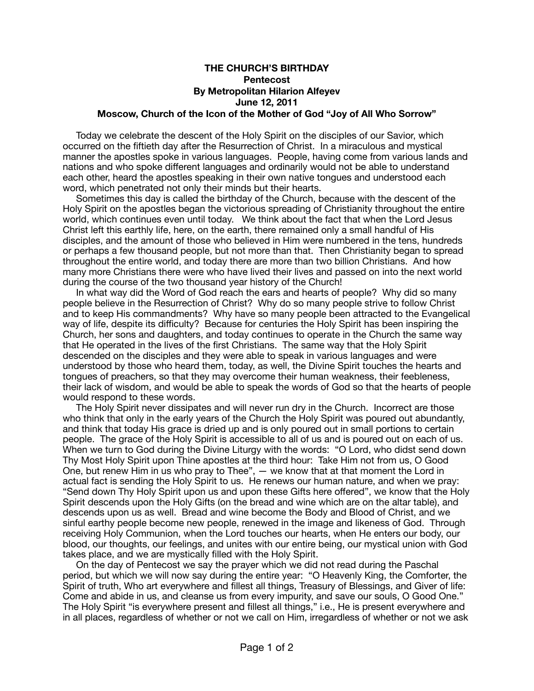## **THE CHURCH'S BIRTHDAY Pentecost By Metropolitan Hilarion Alfeyev June 12, 2011 Moscow, Church of the Icon of the Mother of God "Joy of All Who Sorrow"**

 Today we celebrate the descent of the Holy Spirit on the disciples of our Savior, which occurred on the fiftieth day after the Resurrection of Christ. In a miraculous and mystical manner the apostles spoke in various languages. People, having come from various lands and nations and who spoke different languages and ordinarily would not be able to understand each other, heard the apostles speaking in their own native tongues and understood each word, which penetrated not only their minds but their hearts.

 Sometimes this day is called the birthday of the Church, because with the descent of the Holy Spirit on the apostles began the victorious spreading of Christianity throughout the entire world, which continues even until today. We think about the fact that when the Lord Jesus Christ left this earthly life, here, on the earth, there remained only a small handful of His disciples, and the amount of those who believed in Him were numbered in the tens, hundreds or perhaps a few thousand people, but not more than that. Then Christianity began to spread throughout the entire world, and today there are more than two billion Christians. And how many more Christians there were who have lived their lives and passed on into the next world during the course of the two thousand year history of the Church!

 In what way did the Word of God reach the ears and hearts of people? Why did so many people believe in the Resurrection of Christ? Why do so many people strive to follow Christ and to keep His commandments? Why have so many people been attracted to the Evangelical way of life, despite its difficulty? Because for centuries the Holy Spirit has been inspiring the Church, her sons and daughters, and today continues to operate in the Church the same way that He operated in the lives of the first Christians. The same way that the Holy Spirit descended on the disciples and they were able to speak in various languages and were understood by those who heard them, today, as well, the Divine Spirit touches the hearts and tongues of preachers, so that they may overcome their human weakness, their feebleness, their lack of wisdom, and would be able to speak the words of God so that the hearts of people would respond to these words.

 The Holy Spirit never dissipates and will never run dry in the Church. Incorrect are those who think that only in the early years of the Church the Holy Spirit was poured out abundantly, and think that today His grace is dried up and is only poured out in small portions to certain people. The grace of the Holy Spirit is accessible to all of us and is poured out on each of us. When we turn to God during the Divine Liturgy with the words: "O Lord, who didst send down Thy Most Holy Spirit upon Thine apostles at the third hour: Take Him not from us, O Good One, but renew Him in us who pray to Thee", — we know that at that moment the Lord in actual fact is sending the Holy Spirit to us. He renews our human nature, and when we pray: "Send down Thy Holy Spirit upon us and upon these Gifts here offered", we know that the Holy Spirit descends upon the Holy Gifts (on the bread and wine which are on the altar table), and descends upon us as well. Bread and wine become the Body and Blood of Christ, and we sinful earthy people become new people, renewed in the image and likeness of God. Through receiving Holy Communion, when the Lord touches our hearts, when He enters our body, our blood, our thoughts, our feelings, and unites with our entire being, our mystical union with God takes place, and we are mystically filled with the Holy Spirit.

 On the day of Pentecost we say the prayer which we did not read during the Paschal period, but which we will now say during the entire year: "O Heavenly King, the Comforter, the Spirit of truth, Who art everywhere and fillest all things, Treasury of Blessings, and Giver of life: Come and abide in us, and cleanse us from every impurity, and save our souls, O Good One." The Holy Spirit "is everywhere present and fillest all things," i.e., He is present everywhere and in all places, regardless of whether or not we call on Him, irregardless of whether or not we ask